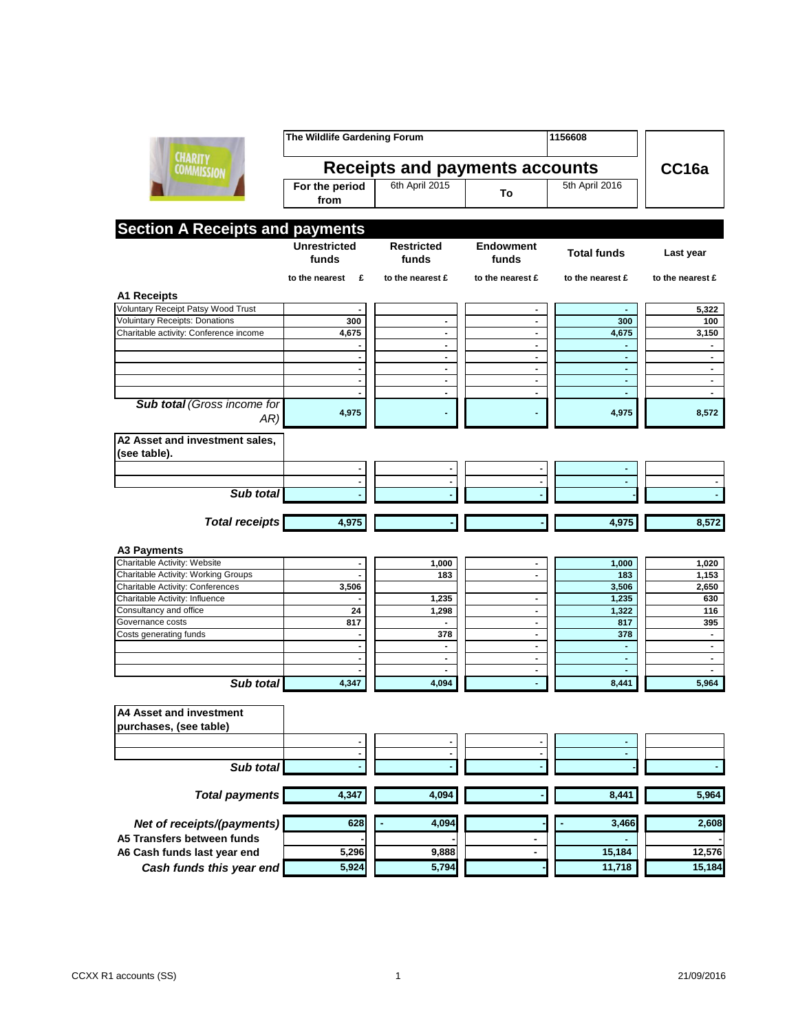|                                        | The Wildlife Gardening Forum          |                                  |                                  | 1156608                          |                                  |
|----------------------------------------|---------------------------------------|----------------------------------|----------------------------------|----------------------------------|----------------------------------|
| <b>CHARITY</b><br><b>COMMISSION</b>    | <b>Receipts and payments accounts</b> |                                  |                                  |                                  | CC16a                            |
|                                        | For the period<br>from                | 6th April 2015                   | To                               | 5th April 2016                   |                                  |
| <b>Section A Receipts and payments</b> |                                       |                                  |                                  |                                  |                                  |
|                                        | <b>Unrestricted</b><br>funds          | <b>Restricted</b><br>funds       | <b>Endowment</b><br>funds        | <b>Total funds</b>               | Last year                        |
|                                        | to the nearest<br>£                   | to the nearest £                 | to the nearest £                 | to the nearest £                 | to the nearest £                 |
| A1 Receipts                            |                                       |                                  |                                  |                                  |                                  |
| Voluntary Receipt Patsy Wood Trust     |                                       |                                  | $\blacksquare$                   | $\blacksquare$                   | 5,322                            |
| <b>Voluintary Receipts: Donations</b>  | 300                                   | $\overline{\phantom{a}}$         | $\blacksquare$                   | 300                              | 100                              |
| Charitable activity: Conference income | 4,675                                 | $\overline{\phantom{a}}$         | $\blacksquare$                   | 4,675                            | 3,150                            |
|                                        |                                       | $\blacksquare$                   | $\blacksquare$                   |                                  |                                  |
|                                        |                                       | $\blacksquare$                   | $\blacksquare$                   | $\blacksquare$                   | $\blacksquare$                   |
|                                        |                                       | $\blacksquare$                   | $\blacksquare$                   | $\overline{a}$                   | $\blacksquare$                   |
|                                        |                                       | $\blacksquare$<br>$\blacksquare$ | $\blacksquare$<br>$\blacksquare$ | $\blacksquare$<br>$\blacksquare$ | $\blacksquare$<br>$\blacksquare$ |
| Sub total (Gross income for            |                                       |                                  |                                  |                                  |                                  |
| AR)                                    | 4,975                                 |                                  | $\blacksquare$                   | 4,975                            | 8,572                            |
| A2 Asset and investment sales,         |                                       |                                  |                                  |                                  |                                  |
| (see table).                           |                                       |                                  |                                  |                                  |                                  |
|                                        | -                                     |                                  | $\overline{\phantom{a}}$         | $\overline{a}$                   |                                  |
|                                        |                                       |                                  | $\blacksquare$                   | ä,                               |                                  |
| Sub total                              |                                       |                                  |                                  |                                  |                                  |
| <b>Total receipts</b>                  | 4,975                                 |                                  |                                  | 4,975                            | 8,572                            |
| <b>A3 Payments</b>                     |                                       |                                  |                                  |                                  |                                  |
| Charitable Activity: Website           | $\qquad \qquad \blacksquare$          | 1,000                            | $\blacksquare$                   | 1,000                            | 1,020                            |
| Charitable Activity: Working Groups    |                                       | 183                              | $\blacksquare$                   | 183                              | 1,153                            |
| Charitable Activity: Conferences       | 3,506                                 |                                  |                                  | 3,506                            | 2,650                            |
| Charitable Activity: Influence         |                                       | 1,235                            | $\blacksquare$                   | 1,235                            | 630                              |
| Consultancy and office                 | 24                                    | 1,298                            | $\blacksquare$                   | 1,322                            | 116                              |
| Governance costs                       | 817                                   |                                  | $\blacksquare$                   | 817                              | 395                              |
| Costs generating funds                 |                                       | 378                              | $\blacksquare$                   | 378                              | $\blacksquare$                   |
|                                        |                                       | $\blacksquare$                   | $\blacksquare$                   | $\blacksquare$                   | $\blacksquare$                   |
|                                        |                                       | $\blacksquare$                   | $\blacksquare$                   | $\blacksquare$                   | $\blacksquare$                   |
| Sub total                              | 4,347                                 | $\blacksquare$<br>4,094          | $\blacksquare$                   | $\blacksquare$<br>8,441          | 5,964                            |
| A4 Asset and investment                |                                       |                                  |                                  |                                  |                                  |
| purchases, (see table)                 |                                       |                                  |                                  |                                  |                                  |
|                                        |                                       |                                  |                                  |                                  |                                  |
|                                        | -                                     | $\blacksquare$                   | $\blacksquare$                   | ۰                                |                                  |
| Sub total                              |                                       |                                  |                                  |                                  |                                  |
| <b>Total payments</b>                  | 4,347                                 | 4,094                            |                                  | 8,441                            | 5,964                            |
| Net of receipts/(payments)             | 628                                   | 4,094                            |                                  | 3,466                            | 2,608                            |
| A5 Transfers between funds             |                                       |                                  |                                  |                                  |                                  |
| A6 Cash funds last year end            | $\overline{5,296}$                    | 9,888                            | ۰                                | 15,184                           | 12,576                           |
| Cash funds this year end               | 5,924                                 | 5,794                            |                                  | 11,718                           | 15,184                           |